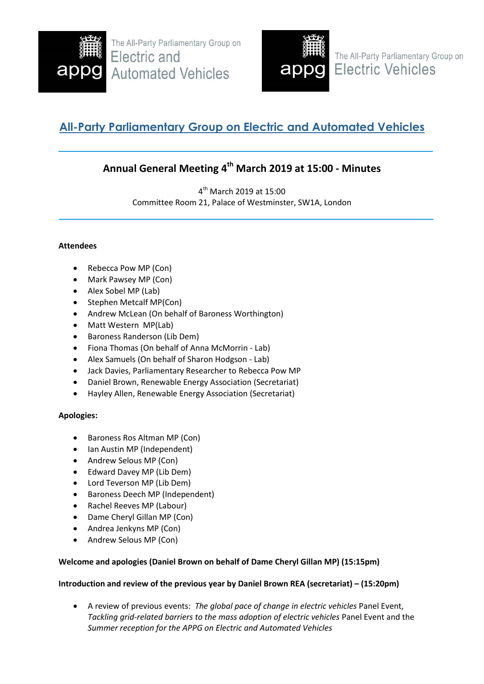

The All-Party Parliamentary Group on Electric and **Automated Vehicles** 



The All-Party Parliamentary Group on **Electric Vehicles** 

# **All-Party Parliamentary Group on Electric and Automated Vehicles**

# **Annual General Meeting 4 th March 2019 at 15:00 - Minutes**

4 th March 2019 at 15:00 Committee Room 21, Palace of Westminster, SW1A, London

# **Attendees**

- Rebecca Pow MP (Con)
- Mark Pawsey MP (Con)
- Alex Sobel MP (Lab)
- Stephen Metcalf MP(Con)
- Andrew McLean (On behalf of Baroness Worthington)
- Matt Western MP(Lab)
- Baroness Randerson (Lib Dem)
- Fiona Thomas (On behalf of Anna McMorrin Lab)
- Alex Samuels (On behalf of Sharon Hodgson Lab)
- Jack Davies, Parliamentary Researcher to Rebecca Pow MP
- Daniel Brown, Renewable Energy Association (Secretariat)
- Hayley Allen, Renewable Energy Association (Secretariat)

# **Apologies:**

- Baroness Ros Altman MP (Con)
- Ian Austin MP (Independent)
- Andrew Selous MP (Con)
- Edward Davey MP (Lib Dem)
- Lord Teverson MP (Lib Dem)
- Baroness Deech MP (Independent)
- Rachel Reeves MP (Labour)
- Dame Cheryl Gillan MP (Con)
- Andrea Jenkyns MP (Con)
- Andrew Selous MP (Con)

# **Welcome and apologies (Daniel Brown on behalf of Dame Cheryl Gillan MP) (15:15pm)**

# **Introduction and review of the previous year by Daniel Brown REA (secretariat) – (15:20pm)**

 A review of previous events:*The global pace of change in electric vehicles* Panel Event, *Tackling grid-related barriers to the mass adoption of electric vehicles* Panel Event and the *Summer reception for the APPG on Electric and Automated Vehicles*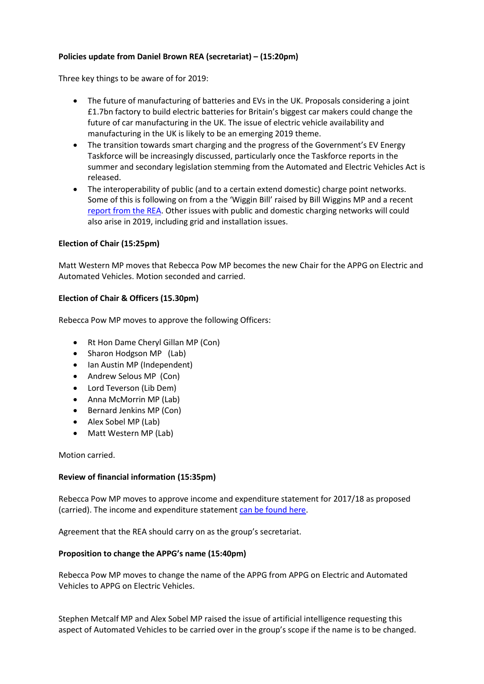# **Policies update from Daniel Brown REA (secretariat) – (15:20pm)**

Three key things to be aware of for 2019:

- The future of manufacturing of batteries and EVs in the UK. Proposals considering a joint £1.7bn factory to build electric batteries for Britain's biggest car makers could change the future of car manufacturing in the UK. The issue of electric vehicle availability and manufacturing in the UK is likely to be an emerging 2019 theme.
- The transition towards smart charging and the progress of the Government's EV Energy Taskforce will be increasingly discussed, particularly once the Taskforce reports in the summer and secondary legislation stemming from the Automated and Electric Vehicles Act is released.
- The interoperability of public (and to a certain extend domestic) charge point networks. Some of this is following on from a the 'Wiggin Bill' raised by Bill Wiggins MP and a recent [report from the REA.](http://www.r-e-a.net/upload/rea_interoperability_of_public_ev_charging_in_the_uk_-_report_-_27_feb_2019_-_f1.pdf) Other issues with public and domestic charging networks will could also arise in 2019, including grid and installation issues.

#### **Election of Chair (15:25pm)**

Matt Western MP moves that Rebecca Pow MP becomes the new Chair for the APPG on Electric and Automated Vehicles. Motion seconded and carried.

#### **Election of Chair & Officers (15.30pm)**

Rebecca Pow MP moves to approve the following Officers:

- Rt Hon Dame Cheryl Gillan MP (Con)
- Sharon Hodgson MP (Lab)
- Ian Austin MP (Independent)
- Andrew Selous MP (Con)
- Lord Teverson (Lib Dem)
- Anna McMorrin MP (Lab)
- Bernard Jenkins MP (Con)
- Alex Sobel MP (Lab)
- Matt Western MP (Lab)

Motion carried.

#### **Review of financial information (15:35pm)**

Rebecca Pow MP moves to approve income and expenditure statement for 2017/18 as proposed (carried). The income and expenditure statemen[t can be found here.](http://www.r-e-a.net/upload/appg_eavs_-_income_and_expend_statement_2019.pdf)

Agreement that the REA should carry on as the group's secretariat.

#### **Proposition to change the APPG's name (15:40pm)**

Rebecca Pow MP moves to change the name of the APPG from APPG on Electric and Automated Vehicles to APPG on Electric Vehicles.

Stephen Metcalf MP and Alex Sobel MP raised the issue of artificial intelligence requesting this aspect of Automated Vehicles to be carried over in the group's scope if the name is to be changed.